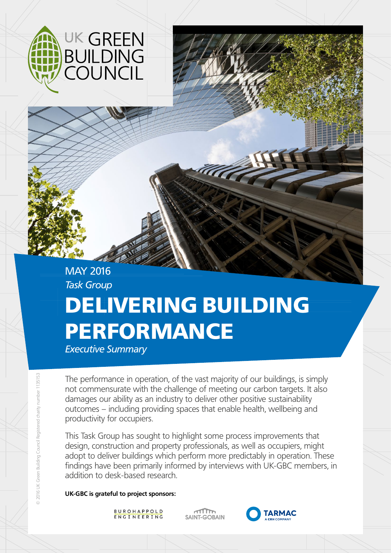

# DELIVERING BUILDING PERFORMANCE MAY 2016 *Task Group*

*Executive Summary*

The performance in operation, of the vast majority of our buildings, is simply not commensurate with the challenge of meeting our carbon targets. It also damages our ability as an industry to deliver other positive sustainability outcomes – including providing spaces that enable health, wellbeing and productivity for occupiers.

This Task Group has sought to highlight some process improvements that design, construction and property professionals, as well as occupiers, might adopt to deliver buildings which perform more predictably in operation. These findings have been primarily informed by interviews with UK-GBC members, in addition to desk-based research.

**UK-GBC is grateful to project sponsors:**

**BUROHAPPOLD** ENGINEERING

 $\sqrt{10}$ SAINT-GORAIN

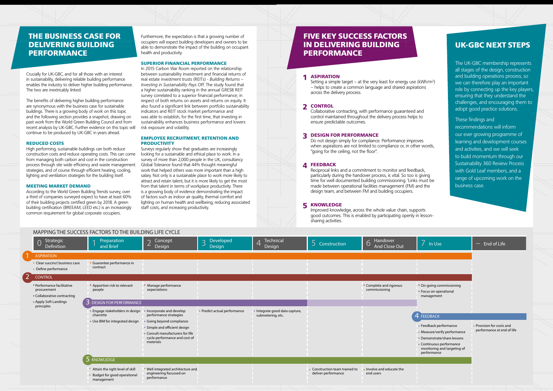Setting a simple target  $-$  at the very least for energy use (kWh/m<sup>2</sup>) – helps to create a common language and shared aspirations across the delivery process.

#### 2 CONTROL

Collaborative contracting, with performance guaranteed and control maintained throughout the delivery process helps to ensure predictable outcomes.

#### 3 DESIGN FOR PERFORMANCE

Do not design simply for compliance. Performance improves when aspirations are not limited to compliance or, in other words, "going for the ceiling, not the floor".

# 4 FEEDBACK

Reciprocal links and a commitment to monitor and feedback, particularly during the handover process, is vital. So too is giving time for well documented building commissioning. 'Links must be made between operational facilities management (FM) and the design team, and between FM and building occupiers.

#### 5 KNOWLEDGE

Improved knowledge, across the whole value chain, supports good outcomes. This is enabled by participating openly in lessonsharing activities.

Crucially for UK-GBC, and for all those with an interest in sustainability, delivering reliable building performance enables the industry to deliver higher building performance. The two are inextricably linked.

The benefits of delivering higher building performance are synonymous with the business case for sustainable buildings. There is a growing body of work on this topic and the following section provides a snapshot, drawing on past work from the World Green Building Council and from recent analysis by UK-GBC. Further evidence on this topic will continue to be produced by UK-GBC in years ahead.

#### EMPLOYEE RECRUITMENT, RETENTION AND **PRODUCTIVITY**

#### REDUCED COSTS

High performing, sustainable buildings can both reduce construction costs and reduce operating costs. This can come from managing both carbon and cost in the construction process through site wide efficiency and waste management strategies, and of course through efficient heating, cooling, lighting and ventilation strategies for the building itself.

#### MEETING MARKET DEMAND

According to the World Green Building Trends survey, over a third of companies surveyed expect to have at least 60% of their building projects certified green by 2018. A green building certification (BREEAM, LEED etc.) is an increasingly common requirement for global corporate occupiers.

Furthermore, the expectation is that a growing number of occupiers will expect building developers and owners to be able to demonstrate the impact of the building on occupant health and productivity.

## SUPERIOR FINANCIAL PERFORMANCE

In 2015 Carbon War Room reported on the relationship between sustainability investment and financial returns of real estate investment trusts (REITs) - *Building Returns – Investing in Sustainability Pays Off*. The study found that a higher sustainability ranking in the annual GRESB REIT survey correlated to a superior financial performance; in respect of both returns on assets and returns on equity. It also found a significant link between portfolio sustainability indicators and REIT stock market performance and was able to establish, for the first time, that investing in sustainability enhances business performance and lowers risk exposure and volatility.

# FIVE KEY SUCCESS FACTORS IN DELIVERING BUILDING **PERFORMANCE**

# **1 ASPIRATION**

Surveys regularly show that graduates are increasingly looking for a sustainable and ethical place to work. In a survey of more than 2,000 people in the UK, consultancy Global Tolerance found that 44% thought meaningful work that helped others was more important than a high salary. Not only is a sustainable place to work more likely to attract and retain talent, but it is more likely to get the most from that talent in terms of workplace productivity. There is a growing body of evidence demonstrating the impact of factors such as indoor air quality, thermal comfort and lighting on human health and wellbeing, reducing associated staff costs, and increasing productivity.

| Strategic<br><b>Definition</b>                                           | Preparation<br>and Brief                                                         | Concept<br>$\bigcap$<br><b>Design</b>                                          | <b>Developed</b><br>$\overline{3}$<br><b>Design</b> | Technical<br>$\overline{4}$<br>Design               | 5 Construction                                        | Handover<br>6<br>And Close Out           | In Use                                                                 |                     |
|--------------------------------------------------------------------------|----------------------------------------------------------------------------------|--------------------------------------------------------------------------------|-----------------------------------------------------|-----------------------------------------------------|-------------------------------------------------------|------------------------------------------|------------------------------------------------------------------------|---------------------|
| <b>ASPIRATION</b>                                                        |                                                                                  |                                                                                |                                                     |                                                     |                                                       |                                          |                                                                        |                     |
| • Clear succinct business case<br>• Define performance                   | · Guarantee performance in<br>contract                                           |                                                                                |                                                     |                                                     |                                                       |                                          |                                                                        |                     |
| <b>CONTROL</b>                                                           |                                                                                  |                                                                                |                                                     |                                                     |                                                       |                                          |                                                                        |                     |
| • Performance facilitative<br>procurement<br>• Collaborative contracting | • Apportion risk to relevant<br>people                                           | • Manage performance<br>expectations                                           |                                                     |                                                     |                                                       | • Complete and rigorous<br>commissioning | • On-going commissioning<br>• Focus on operational<br>management       |                     |
| • Apply Soft Landings<br>principles                                      | 3 DESIGN FOR PERFORMANCE                                                         |                                                                                |                                                     |                                                     |                                                       |                                          |                                                                        |                     |
|                                                                          | • Engage stakeholders in design • Incorporate and develop<br>charrette           | performance strategies                                                         | • Predict actual performance                        | · Integrate good data capture,<br>submetering, etc. |                                                       |                                          | 4 FEEDBACK                                                             |                     |
|                                                                          | • Use BIM for integrated design                                                  | · Going beyond compliance<br>• Simple and efficient design                     |                                                     |                                                     |                                                       |                                          | • Feedback performance                                                 | $\bullet$ Pro<br>pe |
|                                                                          |                                                                                  | • Consult manufacturers for life<br>cycle performance and cost of<br>materials |                                                     |                                                     |                                                       |                                          | • Measure/verify performance<br>• Demonstrate/share lessons            |                     |
|                                                                          |                                                                                  |                                                                                |                                                     |                                                     |                                                       |                                          | • Continuous performance<br>monitoring and targeting of<br>performance |                     |
|                                                                          | 5 KNOWLEDGE                                                                      |                                                                                |                                                     |                                                     |                                                       |                                          |                                                                        |                     |
|                                                                          | • Attain the right level of skill<br>• Budget for good operational<br>management | • Well integrated architecture and<br>engineering focussed on<br>performance   |                                                     |                                                     | • Construction team trained to<br>deliver performance | • Involve and educate the<br>end users   |                                                                        |                     |



#### **MAPPING THE SUCCESS FACTORS TO THE BUILDING LIFE CYCLE**

# UK-GBC NEXT STEPS

The UK-GBC membership represents all stages of the design, construction and building operations process, so we can therefore play an important role by connecting up the key players, ensuring that they understand the challenges, and encouraging them to adopt good practice solutions.

These findings and recommendations will inform our ever growing programme of learning and development courses and activities, and we will seek to build momentum through our Sustainability 360 Review Process with Gold Leaf members, and a range of upcoming work on the business case.

# THE BUSINESS CASE FOR DELIVERING BUILDING PERFORMANCE